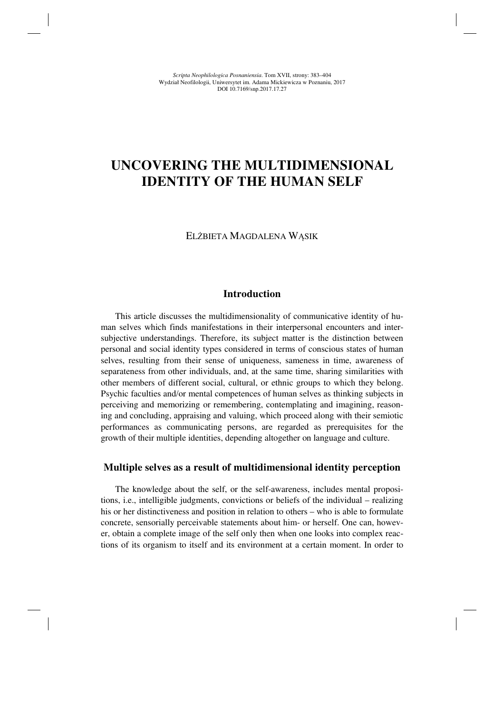# **UNCOVERING THE MULTIDIMENSIONAL IDENTITY OF THE HUMAN SELF**

#### ELŻBIETA MAGDALENA WĄSIK

#### **Introduction**

This article discusses the multidimensionality of communicative identity of human selves which finds manifestations in their interpersonal encounters and intersubjective understandings. Therefore, its subject matter is the distinction between personal and social identity types considered in terms of conscious states of human selves, resulting from their sense of uniqueness, sameness in time, awareness of separateness from other individuals, and, at the same time, sharing similarities with other members of different social, cultural, or ethnic groups to which they belong. Psychic faculties and/or mental competences of human selves as thinking subjects in perceiving and memorizing or remembering, contemplating and imagining, reasoning and concluding, appraising and valuing, which proceed along with their semiotic performances as communicating persons, are regarded as prerequisites for the growth of their multiple identities, depending altogether on language and culture.

## **Multiple selves as a result of multidimensional identity perception**

The knowledge about the self, or the self-awareness, includes mental propositions, i.e., intelligible judgments, convictions or beliefs of the individual – realizing his or her distinctiveness and position in relation to others – who is able to formulate concrete, sensorially perceivable statements about him- or herself. One can, however, obtain a complete image of the self only then when one looks into complex reactions of its organism to itself and its environment at a certain moment. In order to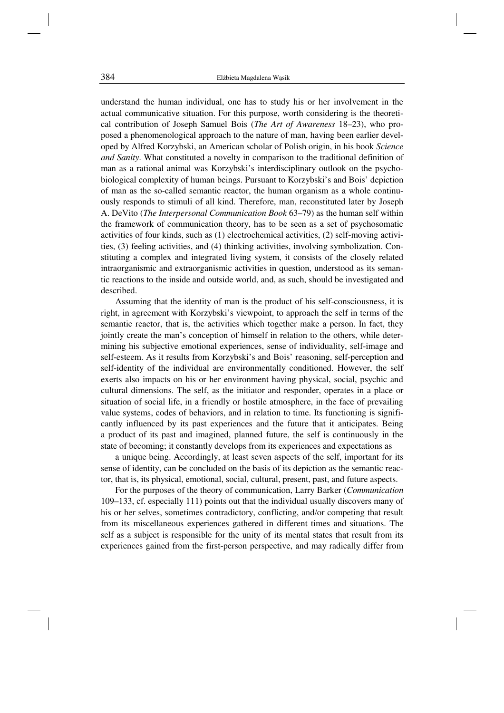understand the human individual, one has to study his or her involvement in the actual communicative situation. For this purpose, worth considering is the theoretical contribution of Joseph Samuel Bois (*The Art of Awareness* 18–23), who proposed a phenomenological approach to the nature of man, having been earlier developed by Alfred Korzybski, an American scholar of Polish origin, in his book *Science and Sanity*. What constituted a novelty in comparison to the traditional definition of man as a rational animal was Korzybski's interdisciplinary outlook on the psychobiological complexity of human beings. Pursuant to Korzybski's and Bois' depiction of man as the so-called semantic reactor, the human organism as a whole continuously responds to stimuli of all kind. Therefore, man, reconstituted later by Joseph A. DeVito (*The Interpersonal Communication Book* 63–79) as the human self within the framework of communication theory, has to be seen as a set of psychosomatic activities of four kinds, such as (1) electrochemical activities, (2) self-moving activities, (3) feeling activities, and (4) thinking activities, involving symbolization. Constituting a complex and integrated living system, it consists of the closely related intraorganismic and extraorganismic activities in question, understood as its semantic reactions to the inside and outside world, and, as such, should be investigated and described.

Assuming that the identity of man is the product of his self-consciousness, it is right, in agreement with Korzybski's viewpoint, to approach the self in terms of the semantic reactor, that is, the activities which together make a person. In fact, they jointly create the man's conception of himself in relation to the others, while determining his subjective emotional experiences, sense of individuality, self-image and self-esteem. As it results from Korzybski's and Bois' reasoning, self-perception and self-identity of the individual are environmentally conditioned. However, the self exerts also impacts on his or her environment having physical, social, psychic and cultural dimensions. The self, as the initiator and responder, operates in a place or situation of social life, in a friendly or hostile atmosphere, in the face of prevailing value systems, codes of behaviors, and in relation to time. Its functioning is significantly influenced by its past experiences and the future that it anticipates. Being a product of its past and imagined, planned future, the self is continuously in the state of becoming; it constantly develops from its experiences and expectations as

a unique being. Accordingly, at least seven aspects of the self, important for its sense of identity, can be concluded on the basis of its depiction as the semantic reactor, that is, its physical, emotional, social, cultural, present, past, and future aspects.

For the purposes of the theory of communication, Larry Barker (*Communication* 109–133, cf. especially 111) points out that the individual usually discovers many of his or her selves, sometimes contradictory, conflicting, and/or competing that result from its miscellaneous experiences gathered in different times and situations. The self as a subject is responsible for the unity of its mental states that result from its experiences gained from the first-person perspective, and may radically differ from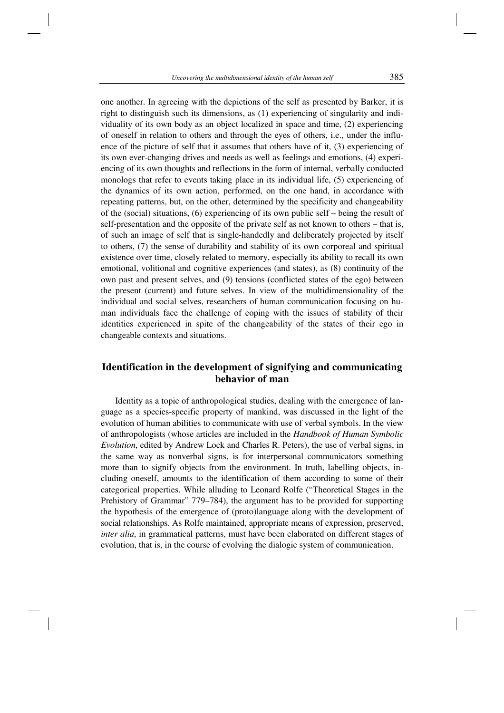one another. In agreeing with the depictions of the self as presented by Barker, it is right to distinguish such its dimensions, as (1) experiencing of singularity and individuality of its own body as an object localized in space and time, (2) experiencing of oneself in relation to others and through the eyes of others, i.e., under the influence of the picture of self that it assumes that others have of it, (3) experiencing of its own ever-changing drives and needs as well as feelings and emotions, (4) experiencing of its own thoughts and reflections in the form of internal, verbally conducted monologs that refer to events taking place in its individual life, (5) experiencing of the dynamics of its own action, performed, on the one hand, in accordance with repeating patterns, but, on the other, determined by the specificity and changeability of the (social) situations, (6) experiencing of its own public self – being the result of self-presentation and the opposite of the private self as not known to others – that is, of such an image of self that is single-handedly and deliberately projected by itself to others, (7) the sense of durability and stability of its own corporeal and spiritual existence over time, closely related to memory, especially its ability to recall its own emotional, volitional and cognitive experiences (and states), as (8) continuity of the own past and present selves, and (9) tensions (conflicted states of the ego) between the present (current) and future selves. In view of the multidimensionality of the individual and social selves, researchers of human communication focusing on human individuals face the challenge of coping with the issues of stability of their identities experienced in spite of the changeability of the states of their ego in changeable contexts and situations.

# **Identification in the development of signifying and communicating behavior of man**

Identity as a topic of anthropological studies, dealing with the emergence of language as a species-specific property of mankind, was discussed in the light of the evolution of human abilities to communicate with use of verbal symbols. In the view of anthropologists (whose articles are included in the *Handbook of Human Symbolic Evolution*, edited by Andrew Lock and Charles R. Peters), the use of verbal signs, in the same way as nonverbal signs, is for interpersonal communicators something more than to signify objects from the environment. In truth, labelling objects, including oneself, amounts to the identification of them according to some of their categorical properties. While alluding to Leonard Rolfe ("Theoretical Stages in the Prehistory of Grammar" 779–784), the argument has to be provided for supporting the hypothesis of the emergence of (proto)language along with the development of social relationships. As Rolfe maintained, appropriate means of expression, preserved, *inter alia*, in grammatical patterns, must have been elaborated on different stages of evolution, that is, in the course of evolving the dialogic system of communication.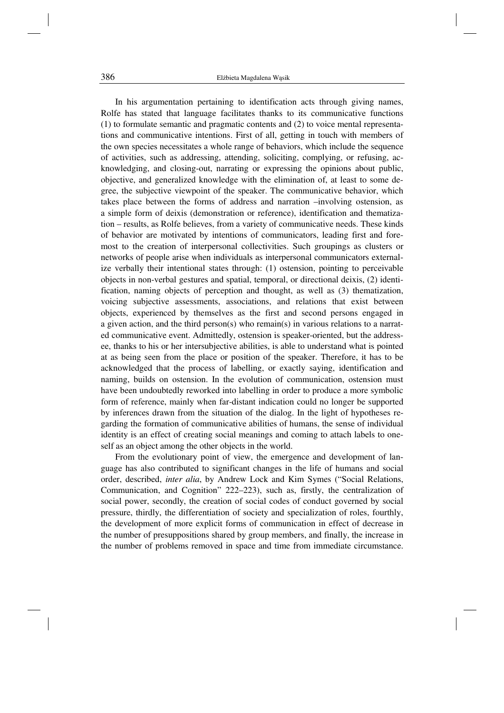In his argumentation pertaining to identification acts through giving names, Rolfe has stated that language facilitates thanks to its communicative functions (1) to formulate semantic and pragmatic contents and (2) to voice mental representations and communicative intentions. First of all, getting in touch with members of the own species necessitates a whole range of behaviors, which include the sequence of activities, such as addressing, attending, soliciting, complying, or refusing, acknowledging, and closing-out, narrating or expressing the opinions about public, objective, and generalized knowledge with the elimination of, at least to some degree, the subjective viewpoint of the speaker. The communicative behavior, which takes place between the forms of address and narration –involving ostension, as a simple form of deixis (demonstration or reference), identification and thematization – results, as Rolfe believes, from a variety of communicative needs. These kinds of behavior are motivated by intentions of communicators, leading first and foremost to the creation of interpersonal collectivities. Such groupings as clusters or networks of people arise when individuals as interpersonal communicators externalize verbally their intentional states through: (1) ostension, pointing to perceivable objects in non-verbal gestures and spatial, temporal, or directional deixis, (2) identification, naming objects of perception and thought, as well as (3) thematization, voicing subjective assessments, associations, and relations that exist between objects, experienced by themselves as the first and second persons engaged in a given action, and the third person(s) who remain(s) in various relations to a narrated communicative event. Admittedly, ostension is speaker-oriented, but the addressee, thanks to his or her intersubjective abilities, is able to understand what is pointed at as being seen from the place or position of the speaker. Therefore, it has to be acknowledged that the process of labelling, or exactly saying, identification and naming, builds on ostension. In the evolution of communication, ostension must have been undoubtedly reworked into labelling in order to produce a more symbolic form of reference, mainly when far-distant indication could no longer be supported by inferences drawn from the situation of the dialog. In the light of hypotheses regarding the formation of communicative abilities of humans, the sense of individual identity is an effect of creating social meanings and coming to attach labels to oneself as an object among the other objects in the world.

From the evolutionary point of view, the emergence and development of language has also contributed to significant changes in the life of humans and social order, described, *inter alia*, by Andrew Lock and Kim Symes ("Social Relations, Communication, and Cognition" 222–223), such as, firstly, the centralization of social power, secondly, the creation of social codes of conduct governed by social pressure, thirdly, the differentiation of society and specialization of roles, fourthly, the development of more explicit forms of communication in effect of decrease in the number of presuppositions shared by group members, and finally, the increase in the number of problems removed in space and time from immediate circumstance.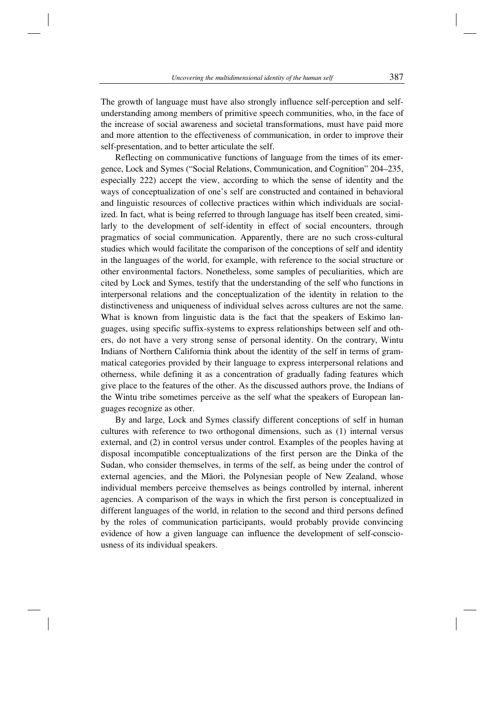The growth of language must have also strongly influence self-perception and selfunderstanding among members of primitive speech communities, who, in the face of the increase of social awareness and societal transformations, must have paid more and more attention to the effectiveness of communication, in order to improve their self-presentation, and to better articulate the self.

Reflecting on communicative functions of language from the times of its emergence, Lock and Symes ("Social Relations, Communication, and Cognition" 204–235, especially 222) accept the view, according to which the sense of identity and the ways of conceptualization of one's self are constructed and contained in behavioral and linguistic resources of collective practices within which individuals are socialized. In fact, what is being referred to through language has itself been created, similarly to the development of self-identity in effect of social encounters, through pragmatics of social communication. Apparently, there are no such cross-cultural studies which would facilitate the comparison of the conceptions of self and identity in the languages of the world, for example, with reference to the social structure or other environmental factors. Nonetheless, some samples of peculiarities, which are cited by Lock and Symes, testify that the understanding of the self who functions in interpersonal relations and the conceptualization of the identity in relation to the distinctiveness and uniqueness of individual selves across cultures are not the same. What is known from linguistic data is the fact that the speakers of Eskimo languages, using specific suffix-systems to express relationships between self and others, do not have a very strong sense of personal identity. On the contrary, Wintu Indians of Northern California think about the identity of the self in terms of grammatical categories provided by their language to express interpersonal relations and otherness, while defining it as a concentration of gradually fading features which give place to the features of the other. As the discussed authors prove, the Indians of the Wintu tribe sometimes perceive as the self what the speakers of European languages recognize as other.

By and large, Lock and Symes classify different conceptions of self in human cultures with reference to two orthogonal dimensions, such as (1) internal versus external, and (2) in control versus under control. Examples of the peoples having at disposal incompatible conceptualizations of the first person are the Dinka of the Sudan, who consider themselves, in terms of the self, as being under the control of external agencies, and the Māori, the Polynesian people of New Zealand, whose individual members perceive themselves as beings controlled by internal, inherent agencies. A comparison of the ways in which the first person is conceptualized in different languages of the world, in relation to the second and third persons defined by the roles of communication participants, would probably provide convincing evidence of how a given language can influence the development of self-consciousness of its individual speakers.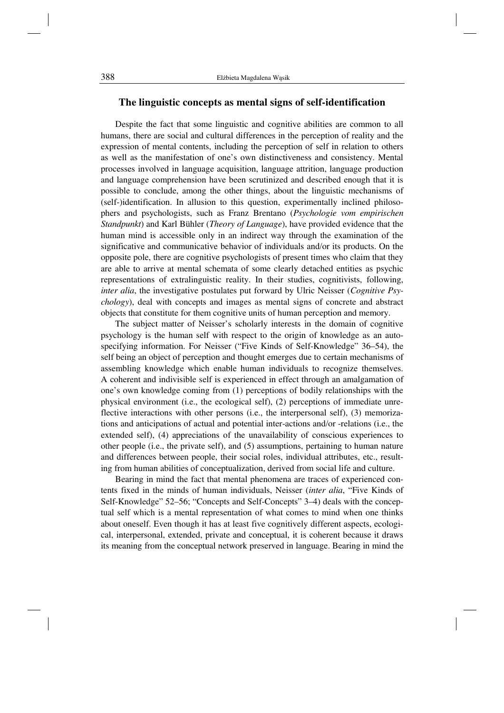#### **The linguistic concepts as mental signs of self-identification**

Despite the fact that some linguistic and cognitive abilities are common to all humans, there are social and cultural differences in the perception of reality and the expression of mental contents, including the perception of self in relation to others as well as the manifestation of one's own distinctiveness and consistency. Mental processes involved in language acquisition, language attrition, language production and language comprehension have been scrutinized and described enough that it is possible to conclude, among the other things, about the linguistic mechanisms of (self-)identification. In allusion to this question, experimentally inclined philosophers and psychologists, such as Franz Brentano (*Psychologie vom empirischen Standpunkt*) and Karl Bühler (*Theory of Language*), have provided evidence that the human mind is accessible only in an indirect way through the examination of the significative and communicative behavior of individuals and/or its products. On the opposite pole, there are cognitive psychologists of present times who claim that they are able to arrive at mental schemata of some clearly detached entities as psychic representations of extralinguistic reality. In their studies, cognitivists, following, *inter alia*, the investigative postulates put forward by Ulric Neisser (*Cognitive Psychology*), deal with concepts and images as mental signs of concrete and abstract objects that constitute for them cognitive units of human perception and memory.

The subject matter of Neisser's scholarly interests in the domain of cognitive psychology is the human self with respect to the origin of knowledge as an autospecifying information. For Neisser ("Five Kinds of Self-Knowledge" 36–54), the self being an object of perception and thought emerges due to certain mechanisms of assembling knowledge which enable human individuals to recognize themselves. A coherent and indivisible self is experienced in effect through an amalgamation of one's own knowledge coming from (1) perceptions of bodily relationships with the physical environment (i.e., the ecological self), (2) perceptions of immediate unreflective interactions with other persons (i.e., the interpersonal self), (3) memorizations and anticipations of actual and potential inter-actions and/or -relations (i.e., the extended self), (4) appreciations of the unavailability of conscious experiences to other people (i.e., the private self), and (5) assumptions, pertaining to human nature and differences between people, their social roles, individual attributes, etc., resulting from human abilities of conceptualization, derived from social life and culture.

Bearing in mind the fact that mental phenomena are traces of experienced contents fixed in the minds of human individuals, Neisser (*inter alia*, "Five Kinds of Self-Knowledge" 52–56; "Concepts and Self-Concepts" 3–4) deals with the conceptual self which is a mental representation of what comes to mind when one thinks about oneself. Even though it has at least five cognitively different aspects, ecological, interpersonal, extended, private and conceptual, it is coherent because it draws its meaning from the conceptual network preserved in language. Bearing in mind the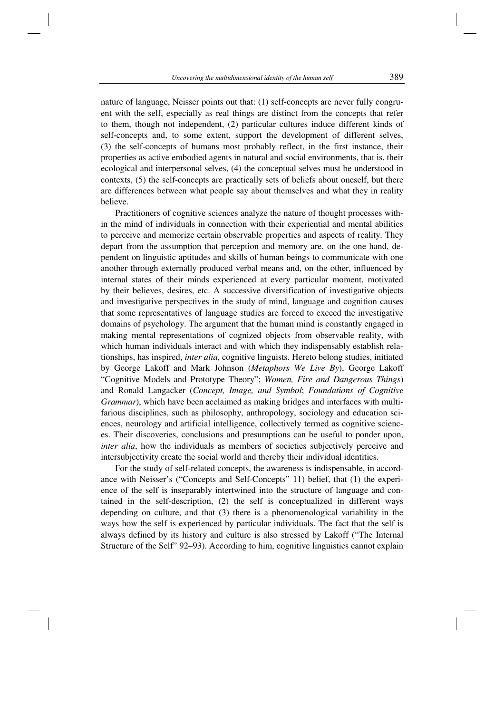nature of language, Neisser points out that: (1) self-concepts are never fully congruent with the self, especially as real things are distinct from the concepts that refer to them, though not independent, (2) particular cultures induce different kinds of self-concepts and, to some extent, support the development of different selves, (3) the self-concepts of humans most probably reflect, in the first instance, their properties as active embodied agents in natural and social environments, that is, their ecological and interpersonal selves, (4) the conceptual selves must be understood in contexts, (5) the self-concepts are practically sets of beliefs about oneself, but there are differences between what people say about themselves and what they in reality believe.

Practitioners of cognitive sciences analyze the nature of thought processes within the mind of individuals in connection with their experiential and mental abilities to perceive and memorize certain observable properties and aspects of reality. They depart from the assumption that perception and memory are, on the one hand, dependent on linguistic aptitudes and skills of human beings to communicate with one another through externally produced verbal means and, on the other, influenced by internal states of their minds experienced at every particular moment, motivated by their believes, desires, etc. A successive diversification of investigative objects and investigative perspectives in the study of mind, language and cognition causes that some representatives of language studies are forced to exceed the investigative domains of psychology. The argument that the human mind is constantly engaged in making mental representations of cognized objects from observable reality, with which human individuals interact and with which they indispensably establish relationships, has inspired, *inter alia*, cognitive linguists. Hereto belong studies, initiated by George Lakoff and Mark Johnson (*Metaphors We Live By*), George Lakoff "Cognitive Models and Prototype Theory"; *Women, Fire and Dangerous Things*) and Ronald Langacker (*Concept, Image, and Symbol*; *Foundations of Cognitive Grammar*), which have been acclaimed as making bridges and interfaces with multifarious disciplines, such as philosophy, anthropology, sociology and education sciences, neurology and artificial intelligence, collectively termed as cognitive sciences. Their discoveries, conclusions and presumptions can be useful to ponder upon, *inter alia*, how the individuals as members of societies subjectively perceive and intersubjectivity create the social world and thereby their individual identities.

For the study of self-related concepts, the awareness is indispensable, in accordance with Neisser's ("Concepts and Self-Concepts" 11) belief, that (1) the experience of the self is inseparably intertwined into the structure of language and contained in the self-description, (2) the self is conceptualized in different ways depending on culture, and that (3) there is a phenomenological variability in the ways how the self is experienced by particular individuals. The fact that the self is always defined by its history and culture is also stressed by Lakoff ("The Internal Structure of the Self" 92–93). According to him, cognitive linguistics cannot explain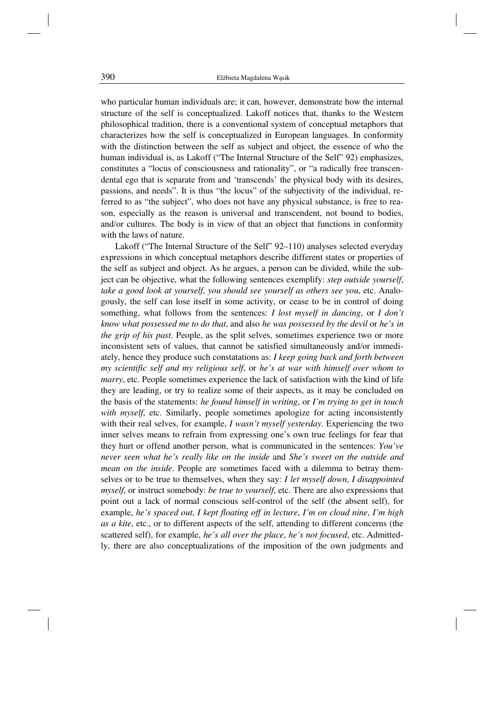who particular human individuals are; it can, however, demonstrate how the internal structure of the self is conceptualized. Lakoff notices that, thanks to the Western philosophical tradition, there is a conventional system of conceptual metaphors that characterizes how the self is conceptualized in European languages. In conformity with the distinction between the self as subject and object, the essence of who the human individual is, as Lakoff ("The Internal Structure of the Self" 92) emphasizes, constitutes a "locus of consciousness and rationality", or "a radically free transcendental ego that is separate from and 'transcends' the physical body with its desires, passions, and needs". It is thus "the locus" of the subjectivity of the individual, referred to as "the subject", who does not have any physical substance, is free to reason, especially as the reason is universal and transcendent, not bound to bodies, and/or cultures. The body is in view of that an object that functions in conformity with the laws of nature.

Lakoff ("The Internal Structure of the Self" 92–110) analyses selected everyday expressions in which conceptual metaphors describe different states or properties of the self as subject and object. As he argues, a person can be divided, while the subject can be objective, what the following sentences exemplify: *step outside yourself*, *take a good look at yourself*, *you should see yourself as others see you*, etc. Analogously, the self can lose itself in some activity, or cease to be in control of doing something, what follows from the sentences: *I lost myself in dancing*, or *I don't know what possessed me to do that*, and also *he was possessed by the devil* or *he's in the grip of his past*. People, as the split selves, sometimes experience two or more inconsistent sets of values, that cannot be satisfied simultaneously and/or immediately, hence they produce such constatations as: *I keep going back and forth between my scientific self and my religious self*, or *he's at war with himself over whom to marry*, etc. People sometimes experience the lack of satisfaction with the kind of life they are leading, or try to realize some of their aspects, as it may be concluded on the basis of the statements: *he found himself in writing*, or *I'm trying to get in touch with myself*, etc. Similarly, people sometimes apologize for acting inconsistently with their real selves, for example, *I wasn't myself yesterday*. Experiencing the two inner selves means to refrain from expressing one's own true feelings for fear that they hurt or offend another person, what is communicated in the sentences: *You've never seen what he's really like on the inside* and *She's sweet on the outside and mean on the inside*. People are sometimes faced with a dilemma to betray themselves or to be true to themselves, when they say: *I let myself down*, *I disappointed myself*, or instruct somebody: *be true to yourself*, etc. There are also expressions that point out a lack of normal conscious self-control of the self (the absent self), for example, *he's spaced out*, *I kept floating off in lecture*, *I'm on cloud nine*, *I'm high as a kite*, etc., or to different aspects of the self, attending to different concerns (the scattered self), for example, *he's all over the place*, *he's not focused*, etc. Admittedly, there are also conceptualizations of the imposition of the own judgments and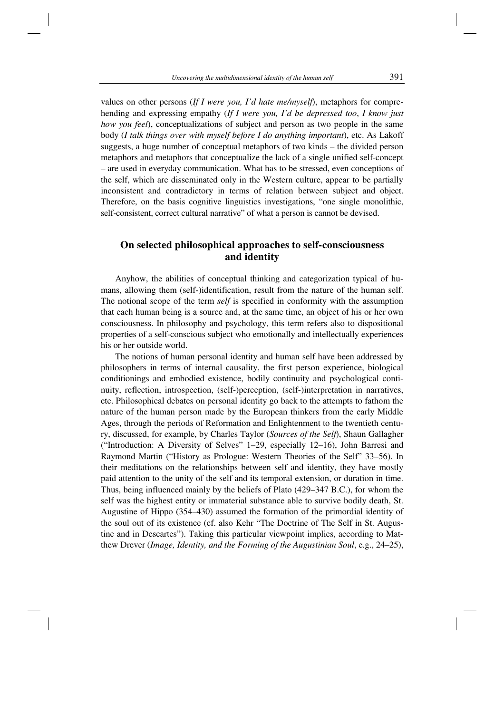values on other persons (*If I were you, I'd hate me/myself*), metaphors for comprehending and expressing empathy (*If I were you, I'd be depressed too*, *I know just how you feel*), conceptualizations of subject and person as two people in the same body (*I talk things over with myself before I do anything important*), etc. As Lakoff suggests, a huge number of conceptual metaphors of two kinds – the divided person metaphors and metaphors that conceptualize the lack of a single unified self-concept – are used in everyday communication. What has to be stressed, even conceptions of the self, which are disseminated only in the Western culture, appear to be partially inconsistent and contradictory in terms of relation between subject and object. Therefore, on the basis cognitive linguistics investigations, "one single monolithic, self-consistent, correct cultural narrative" of what a person is cannot be devised.

## **On selected philosophical approaches to self-consciousness and identity**

Anyhow, the abilities of conceptual thinking and categorization typical of humans, allowing them (self-)identification, result from the nature of the human self. The notional scope of the term *self* is specified in conformity with the assumption that each human being is a source and, at the same time, an object of his or her own consciousness. In philosophy and psychology, this term refers also to dispositional properties of a self-conscious subject who emotionally and intellectually experiences his or her outside world.

The notions of human personal identity and human self have been addressed by philosophers in terms of internal causality, the first person experience, biological conditionings and embodied existence, bodily continuity and psychological continuity, reflection, introspection, (self-)perception, (self-)interpretation in narratives, etc. Philosophical debates on personal identity go back to the attempts to fathom the nature of the human person made by the European thinkers from the early Middle Ages, through the periods of Reformation and Enlightenment to the twentieth century, discussed, for example, by Charles Taylor (*Sources of the Self*), Shaun Gallagher ("Introduction: A Diversity of Selves" 1–29, especially 12–16), John Barresi and Raymond Martin ("History as Prologue: Western Theories of the Self" 33–56). In their meditations on the relationships between self and identity, they have mostly paid attention to the unity of the self and its temporal extension, or duration in time. Thus, being influenced mainly by the beliefs of Plato (429–347 B.C.), for whom the self was the highest entity or immaterial substance able to survive bodily death, St. Augustine of Hippo (354–430) assumed the formation of the primordial identity of the soul out of its existence (cf. also Kehr "The Doctrine of The Self in St. Augustine and in Descartes"). Taking this particular viewpoint implies, according to Matthew Drever (*Image, Identity, and the Forming of the Augustinian Soul*, e.g., 24–25),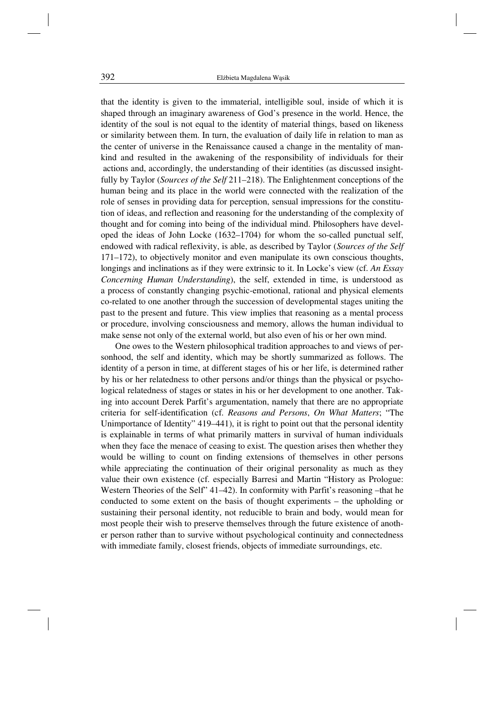that the identity is given to the immaterial, intelligible soul, inside of which it is shaped through an imaginary awareness of God's presence in the world. Hence, the identity of the soul is not equal to the identity of material things, based on likeness or similarity between them. In turn, the evaluation of daily life in relation to man as the center of universe in the Renaissance caused a change in the mentality of mankind and resulted in the awakening of the responsibility of individuals for their actions and, accordingly, the understanding of their identities (as discussed insightfully by Taylor (*Sources of the Self* 211–218). The Enlightenment conceptions of the human being and its place in the world were connected with the realization of the role of senses in providing data for perception, sensual impressions for the constitution of ideas, and reflection and reasoning for the understanding of the complexity of thought and for coming into being of the individual mind. Philosophers have developed the ideas of John Locke (1632–1704) for whom the so-called punctual self, endowed with radical reflexivity, is able, as described by Taylor (*Sources of the Self* 171–172), to objectively monitor and even manipulate its own conscious thoughts, longings and inclinations as if they were extrinsic to it. In Locke's view (cf. *An Essay Concerning Human Understanding*), the self, extended in time, is understood as a process of constantly changing psychic-emotional, rational and physical elements co-related to one another through the succession of developmental stages uniting the past to the present and future. This view implies that reasoning as a mental process or procedure, involving consciousness and memory, allows the human individual to make sense not only of the external world, but also even of his or her own mind.

One owes to the Western philosophical tradition approaches to and views of personhood, the self and identity, which may be shortly summarized as follows. The identity of a person in time, at different stages of his or her life, is determined rather by his or her relatedness to other persons and/or things than the physical or psychological relatedness of stages or states in his or her development to one another. Taking into account Derek Parfit's argumentation, namely that there are no appropriate criteria for self-identification (cf. *Reasons and Persons*, *On What Matters*; "The Unimportance of Identity" 419–441), it is right to point out that the personal identity is explainable in terms of what primarily matters in survival of human individuals when they face the menace of ceasing to exist. The question arises then whether they would be willing to count on finding extensions of themselves in other persons while appreciating the continuation of their original personality as much as they value their own existence (cf. especially Barresi and Martin "History as Prologue: Western Theories of the Self" 41–42). In conformity with Parfit's reasoning –that he conducted to some extent on the basis of thought experiments – the upholding or sustaining their personal identity, not reducible to brain and body, would mean for most people their wish to preserve themselves through the future existence of another person rather than to survive without psychological continuity and connectedness with immediate family, closest friends, objects of immediate surroundings, etc.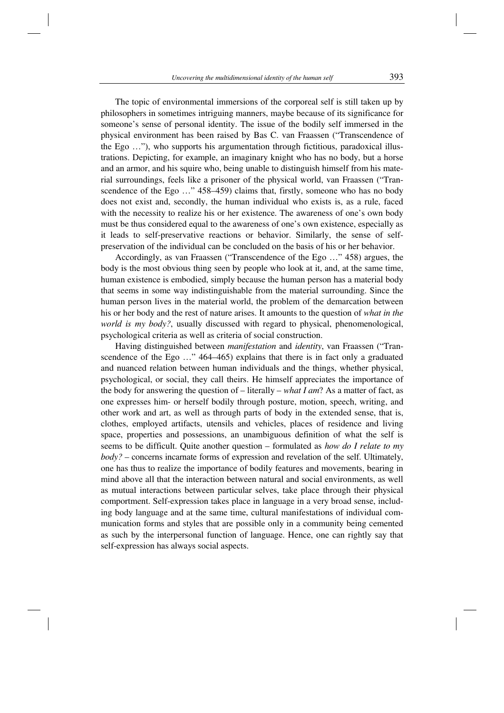The topic of environmental immersions of the corporeal self is still taken up by philosophers in sometimes intriguing manners, maybe because of its significance for someone's sense of personal identity. The issue of the bodily self immersed in the physical environment has been raised by Bas C. van Fraassen ("Transcendence of the Ego …"), who supports his argumentation through fictitious, paradoxical illustrations. Depicting, for example, an imaginary knight who has no body, but a horse and an armor, and his squire who, being unable to distinguish himself from his material surroundings, feels like a prisoner of the physical world, van Fraassen ("Transcendence of the Ego …" 458–459) claims that, firstly, someone who has no body does not exist and, secondly, the human individual who exists is, as a rule, faced with the necessity to realize his or her existence. The awareness of one's own body must be thus considered equal to the awareness of one's own existence, especially as it leads to self-preservative reactions or behavior. Similarly, the sense of selfpreservation of the individual can be concluded on the basis of his or her behavior.

Accordingly, as van Fraassen ("Transcendence of the Ego …" 458) argues, the body is the most obvious thing seen by people who look at it, and, at the same time, human existence is embodied, simply because the human person has a material body that seems in some way indistinguishable from the material surrounding. Since the human person lives in the material world, the problem of the demarcation between his or her body and the rest of nature arises. It amounts to the question of *what in the world is my body?*, usually discussed with regard to physical, phenomenological, psychological criteria as well as criteria of social construction.

Having distinguished between *manifestation* and *identity*, van Fraassen ("Transcendence of the Ego …" 464–465) explains that there is in fact only a graduated and nuanced relation between human individuals and the things, whether physical, psychological, or social, they call theirs. He himself appreciates the importance of the body for answering the question of – literally – *what I am*? As a matter of fact, as one expresses him- or herself bodily through posture, motion, speech, writing, and other work and art, as well as through parts of body in the extended sense, that is, clothes, employed artifacts, utensils and vehicles, places of residence and living space, properties and possessions, an unambiguous definition of what the self is seems to be difficult. Quite another question – formulated as *how do I relate to my body?* – concerns incarnate forms of expression and revelation of the self. Ultimately, one has thus to realize the importance of bodily features and movements, bearing in mind above all that the interaction between natural and social environments, as well as mutual interactions between particular selves, take place through their physical comportment. Self-expression takes place in language in a very broad sense, including body language and at the same time, cultural manifestations of individual communication forms and styles that are possible only in a community being cemented as such by the interpersonal function of language. Hence, one can rightly say that self-expression has always social aspects.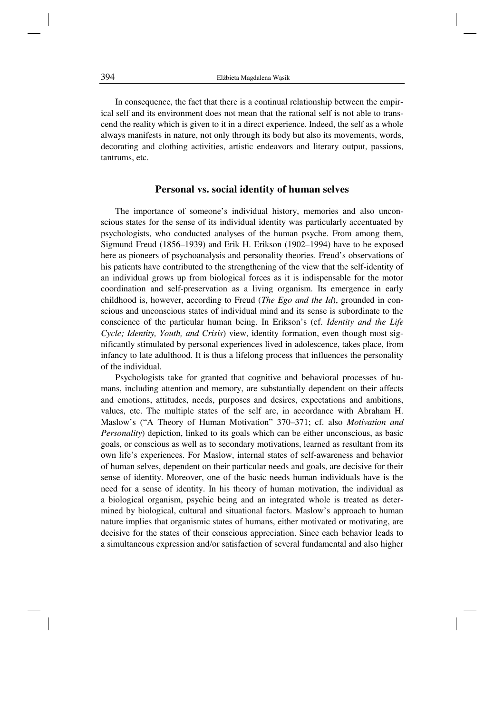In consequence, the fact that there is a continual relationship between the empirical self and its environment does not mean that the rational self is not able to transcend the reality which is given to it in a direct experience. Indeed, the self as a whole always manifests in nature, not only through its body but also its movements, words, decorating and clothing activities, artistic endeavors and literary output, passions, tantrums, etc.

#### **Personal vs. social identity of human selves**

The importance of someone's individual history, memories and also unconscious states for the sense of its individual identity was particularly accentuated by psychologists, who conducted analyses of the human psyche. From among them, Sigmund Freud (1856–1939) and Erik H. Erikson (1902–1994) have to be exposed here as pioneers of psychoanalysis and personality theories. Freud's observations of his patients have contributed to the strengthening of the view that the self-identity of an individual grows up from biological forces as it is indispensable for the motor coordination and self-preservation as a living organism. Its emergence in early childhood is, however, according to Freud (*The Ego and the Id*), grounded in conscious and unconscious states of individual mind and its sense is subordinate to the conscience of the particular human being. In Erikson's (cf. *Identity and the Life Cycle; Identity, Youth, and Crisis*) view, identity formation, even though most significantly stimulated by personal experiences lived in adolescence, takes place, from infancy to late adulthood. It is thus a lifelong process that influences the personality of the individual.

Psychologists take for granted that cognitive and behavioral processes of humans, including attention and memory, are substantially dependent on their affects and emotions, attitudes, needs, purposes and desires, expectations and ambitions, values, etc. The multiple states of the self are, in accordance with Abraham H. Maslow's ("A Theory of Human Motivation" 370–371; cf. also *Motivation and Personality*) depiction, linked to its goals which can be either unconscious, as basic goals, or conscious as well as to secondary motivations, learned as resultant from its own life's experiences. For Maslow, internal states of self-awareness and behavior of human selves, dependent on their particular needs and goals, are decisive for their sense of identity. Moreover, one of the basic needs human individuals have is the need for a sense of identity. In his theory of human motivation, the individual as a biological organism, psychic being and an integrated whole is treated as determined by biological, cultural and situational factors. Maslow's approach to human nature implies that organismic states of humans, either motivated or motivating, are decisive for the states of their conscious appreciation. Since each behavior leads to a simultaneous expression and/or satisfaction of several fundamental and also higher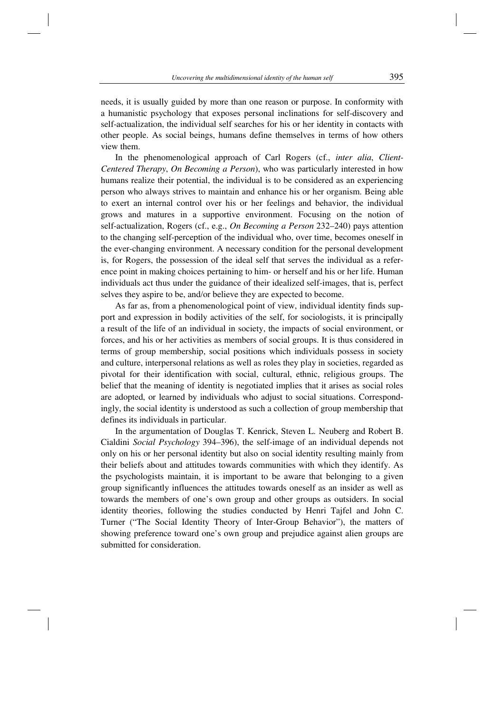needs, it is usually guided by more than one reason or purpose. In conformity with a humanistic psychology that exposes personal inclinations for self-discovery and self-actualization, the individual self searches for his or her identity in contacts with other people. As social beings, humans define themselves in terms of how others view them.

In the phenomenological approach of Carl Rogers (cf., *inter alia*, *Client-Centered Therapy*, *On Becoming a Person*), who was particularly interested in how humans realize their potential, the individual is to be considered as an experiencing person who always strives to maintain and enhance his or her organism. Being able to exert an internal control over his or her feelings and behavior, the individual grows and matures in a supportive environment. Focusing on the notion of self-actualization, Rogers (cf., e.g., *On Becoming a Person* 232–240) pays attention to the changing self-perception of the individual who, over time, becomes oneself in the ever-changing environment. A necessary condition for the personal development is, for Rogers, the possession of the ideal self that serves the individual as a reference point in making choices pertaining to him- or herself and his or her life. Human individuals act thus under the guidance of their idealized self-images, that is, perfect selves they aspire to be, and/or believe they are expected to become.

As far as, from a phenomenological point of view, individual identity finds support and expression in bodily activities of the self, for sociologists, it is principally a result of the life of an individual in society, the impacts of social environment, or forces, and his or her activities as members of social groups. It is thus considered in terms of group membership, social positions which individuals possess in society and culture, interpersonal relations as well as roles they play in societies, regarded as pivotal for their identification with social, cultural, ethnic, religious groups. The belief that the meaning of identity is negotiated implies that it arises as social roles are adopted, or learned by individuals who adjust to social situations. Correspondingly, the social identity is understood as such a collection of group membership that defines its individuals in particular.

In the argumentation of Douglas T. Kenrick, Steven L. Neuberg and Robert B. Cialdini *Social Psychology* 394–396), the self-image of an individual depends not only on his or her personal identity but also on social identity resulting mainly from their beliefs about and attitudes towards communities with which they identify. As the psychologists maintain, it is important to be aware that belonging to a given group significantly influences the attitudes towards oneself as an insider as well as towards the members of one's own group and other groups as outsiders. In social identity theories, following the studies conducted by Henri Tajfel and John C. Turner ("The Social Identity Theory of Inter-Group Behavior"), the matters of showing preference toward one's own group and prejudice against alien groups are submitted for consideration.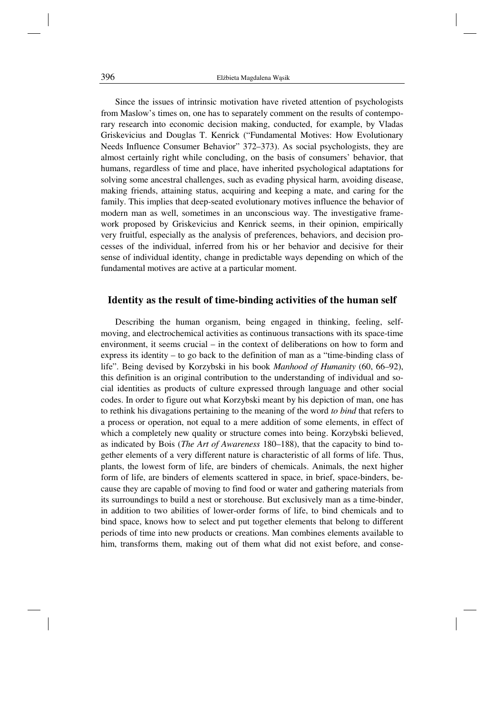Since the issues of intrinsic motivation have riveted attention of psychologists from Maslow's times on, one has to separately comment on the results of contemporary research into economic decision making, conducted, for example, by Vladas Griskevicius and Douglas T. Kenrick ("Fundamental Motives: How Evolutionary Needs Influence Consumer Behavior" 372–373). As social psychologists, they are almost certainly right while concluding, on the basis of consumers' behavior, that humans, regardless of time and place, have inherited psychological adaptations for solving some ancestral challenges, such as evading physical harm, avoiding disease, making friends, attaining status, acquiring and keeping a mate, and caring for the family. This implies that deep-seated evolutionary motives influence the behavior of modern man as well, sometimes in an unconscious way. The investigative framework proposed by Griskevicius and Kenrick seems, in their opinion, empirically very fruitful, especially as the analysis of preferences, behaviors, and decision processes of the individual, inferred from his or her behavior and decisive for their sense of individual identity, change in predictable ways depending on which of the fundamental motives are active at a particular moment.

## **Identity as the result of time-binding activities of the human self**

Describing the human organism, being engaged in thinking, feeling, selfmoving, and electrochemical activities as continuous transactions with its space-time environment, it seems crucial – in the context of deliberations on how to form and express its identity – to go back to the definition of man as a "time-binding class of life". Being devised by Korzybski in his book *Manhood of Humanity* (60, 66–92), this definition is an original contribution to the understanding of individual and social identities as products of culture expressed through language and other social codes. In order to figure out what Korzybski meant by his depiction of man, one has to rethink his divagations pertaining to the meaning of the word *to bind* that refers to a process or operation, not equal to a mere addition of some elements, in effect of which a completely new quality or structure comes into being. Korzybski believed, as indicated by Bois (*The Art of Awareness* 180–188), that the capacity to bind together elements of a very different nature is characteristic of all forms of life. Thus, plants, the lowest form of life, are binders of chemicals. Animals, the next higher form of life, are binders of elements scattered in space, in brief, space-binders, because they are capable of moving to find food or water and gathering materials from its surroundings to build a nest or storehouse. But exclusively man as a time-binder, in addition to two abilities of lower-order forms of life, to bind chemicals and to bind space, knows how to select and put together elements that belong to different periods of time into new products or creations. Man combines elements available to him, transforms them, making out of them what did not exist before, and conse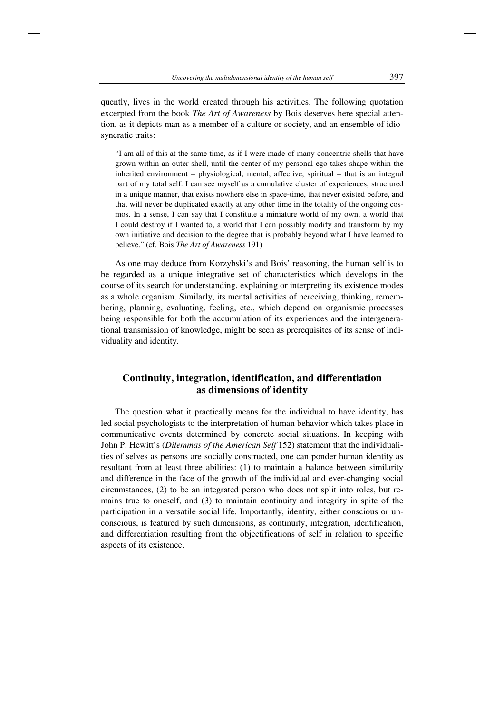quently, lives in the world created through his activities. The following quotation excerpted from the book *The Art of Awareness* by Bois deserves here special attention, as it depicts man as a member of a culture or society, and an ensemble of idiosyncratic traits:

"I am all of this at the same time, as if I were made of many concentric shells that have grown within an outer shell, until the center of my personal ego takes shape within the inherited environment – physiological, mental, affective, spiritual – that is an integral part of my total self. I can see myself as a cumulative cluster of experiences, structured in a unique manner, that exists nowhere else in space-time, that never existed before, and that will never be duplicated exactly at any other time in the totality of the ongoing cosmos. In a sense, I can say that I constitute a miniature world of my own, a world that I could destroy if I wanted to, a world that I can possibly modify and transform by my own initiative and decision to the degree that is probably beyond what I have learned to believe." (cf. Bois *The Art of Awareness* 191)

As one may deduce from Korzybski's and Bois' reasoning, the human self is to be regarded as a unique integrative set of characteristics which develops in the course of its search for understanding, explaining or interpreting its existence modes as a whole organism. Similarly, its mental activities of perceiving, thinking, remembering, planning, evaluating, feeling, etc., which depend on organismic processes being responsible for both the accumulation of its experiences and the intergenerational transmission of knowledge, might be seen as prerequisites of its sense of individuality and identity.

# **Continuity, integration, identification, and differentiation as dimensions of identity**

The question what it practically means for the individual to have identity, has led social psychologists to the interpretation of human behavior which takes place in communicative events determined by concrete social situations. In keeping with John P. Hewitt's (*Dilemmas of the American Self* 152) statement that the individualities of selves as persons are socially constructed, one can ponder human identity as resultant from at least three abilities: (1) to maintain a balance between similarity and difference in the face of the growth of the individual and ever-changing social circumstances, (2) to be an integrated person who does not split into roles, but remains true to oneself, and (3) to maintain continuity and integrity in spite of the participation in a versatile social life. Importantly, identity, either conscious or unconscious, is featured by such dimensions, as continuity, integration, identification, and differentiation resulting from the objectifications of self in relation to specific aspects of its existence.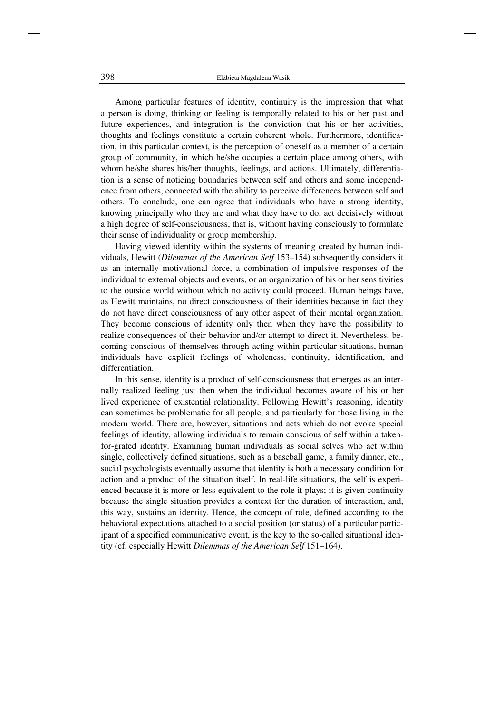Among particular features of identity, continuity is the impression that what a person is doing, thinking or feeling is temporally related to his or her past and future experiences, and integration is the conviction that his or her activities, thoughts and feelings constitute a certain coherent whole. Furthermore, identification, in this particular context, is the perception of oneself as a member of a certain group of community, in which he/she occupies a certain place among others, with whom he/she shares his/her thoughts, feelings, and actions. Ultimately, differentiation is a sense of noticing boundaries between self and others and some independence from others, connected with the ability to perceive differences between self and others. To conclude, one can agree that individuals who have a strong identity, knowing principally who they are and what they have to do, act decisively without a high degree of self-consciousness, that is, without having consciously to formulate their sense of individuality or group membership.

Having viewed identity within the systems of meaning created by human individuals, Hewitt (*Dilemmas of the American Self* 153–154) subsequently considers it as an internally motivational force, a combination of impulsive responses of the individual to external objects and events, or an organization of his or her sensitivities to the outside world without which no activity could proceed. Human beings have, as Hewitt maintains, no direct consciousness of their identities because in fact they do not have direct consciousness of any other aspect of their mental organization. They become conscious of identity only then when they have the possibility to realize consequences of their behavior and/or attempt to direct it. Nevertheless, becoming conscious of themselves through acting within particular situations, human individuals have explicit feelings of wholeness, continuity, identification, and differentiation.

In this sense, identity is a product of self-consciousness that emerges as an internally realized feeling just then when the individual becomes aware of his or her lived experience of existential relationality. Following Hewitt's reasoning, identity can sometimes be problematic for all people, and particularly for those living in the modern world. There are, however, situations and acts which do not evoke special feelings of identity, allowing individuals to remain conscious of self within a takenfor-grated identity. Examining human individuals as social selves who act within single, collectively defined situations, such as a baseball game, a family dinner, etc., social psychologists eventually assume that identity is both a necessary condition for action and a product of the situation itself. In real-life situations, the self is experienced because it is more or less equivalent to the role it plays; it is given continuity because the single situation provides a context for the duration of interaction, and, this way, sustains an identity. Hence, the concept of role, defined according to the behavioral expectations attached to a social position (or status) of a particular participant of a specified communicative event, is the key to the so-called situational identity (cf. especially Hewitt *Dilemmas of the American Self* 151–164).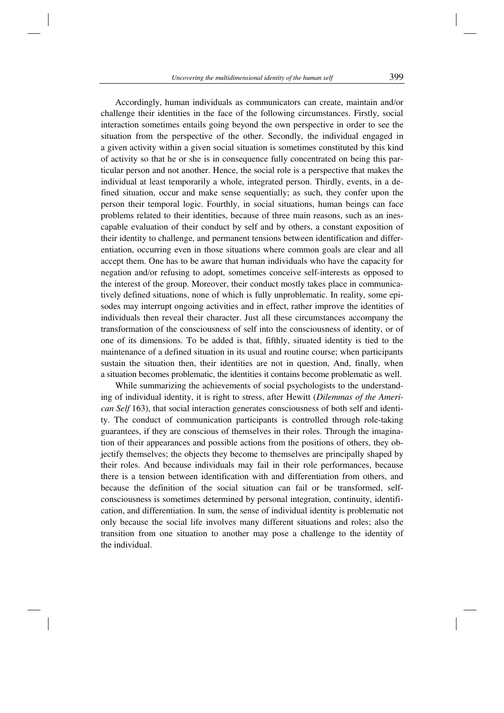Accordingly, human individuals as communicators can create, maintain and/or challenge their identities in the face of the following circumstances. Firstly, social interaction sometimes entails going beyond the own perspective in order to see the situation from the perspective of the other. Secondly, the individual engaged in a given activity within a given social situation is sometimes constituted by this kind of activity so that he or she is in consequence fully concentrated on being this particular person and not another. Hence, the social role is a perspective that makes the individual at least temporarily a whole, integrated person. Thirdly, events, in a defined situation, occur and make sense sequentially; as such, they confer upon the person their temporal logic. Fourthly, in social situations, human beings can face problems related to their identities, because of three main reasons, such as an inescapable evaluation of their conduct by self and by others, a constant exposition of their identity to challenge, and permanent tensions between identification and differentiation, occurring even in those situations where common goals are clear and all accept them. One has to be aware that human individuals who have the capacity for negation and/or refusing to adopt, sometimes conceive self-interests as opposed to the interest of the group. Moreover, their conduct mostly takes place in communicatively defined situations, none of which is fully unproblematic. In reality, some episodes may interrupt ongoing activities and in effect, rather improve the identities of individuals then reveal their character. Just all these circumstances accompany the transformation of the consciousness of self into the consciousness of identity, or of one of its dimensions. To be added is that, fifthly, situated identity is tied to the maintenance of a defined situation in its usual and routine course; when participants sustain the situation then, their identities are not in question, And, finally, when a situation becomes problematic, the identities it contains become problematic as well.

While summarizing the achievements of social psychologists to the understanding of individual identity, it is right to stress, after Hewitt (*Dilemmas of the American Self* 163), that social interaction generates consciousness of both self and identity. The conduct of communication participants is controlled through role-taking guarantees, if they are conscious of themselves in their roles. Through the imagination of their appearances and possible actions from the positions of others, they objectify themselves; the objects they become to themselves are principally shaped by their roles. And because individuals may fail in their role performances, because there is a tension between identification with and differentiation from others, and because the definition of the social situation can fail or be transformed, selfconsciousness is sometimes determined by personal integration, continuity, identification, and differentiation. In sum, the sense of individual identity is problematic not only because the social life involves many different situations and roles; also the transition from one situation to another may pose a challenge to the identity of the individual.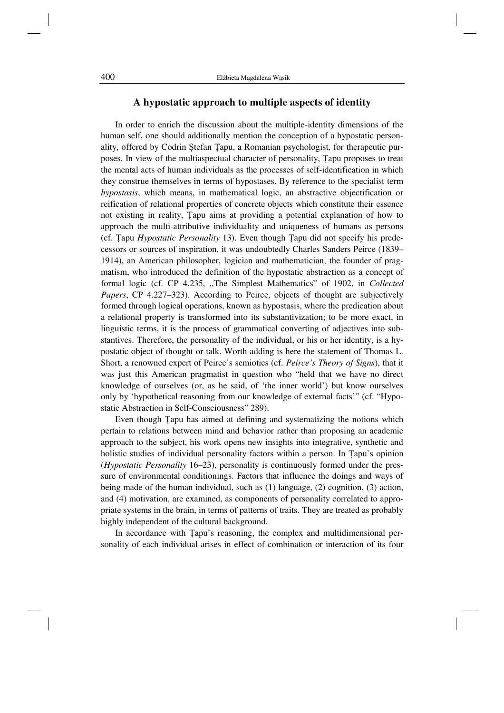#### **A hypostatic approach to multiple aspects of identity**

In order to enrich the discussion about the multiple-identity dimensions of the human self, one should additionally mention the conception of a hypostatic personality, offered by Codrin Ștefan Țapu, a Romanian psychologist, for therapeutic purposes. In view of the multiaspectual character of personality, Țapu proposes to treat the mental acts of human individuals as the processes of self-identification in which they construe themselves in terms of hypostases. By reference to the specialist term *hypostasis*, which means, in mathematical logic, an abstractive objectification or reification of relational properties of concrete objects which constitute their essence not existing in reality, Țapu aims at providing a potential explanation of how to approach the multi-attributive individuality and uniqueness of humans as persons (cf. Țapu *Hypostatic Personality* 13). Even though Țapu did not specify his predecessors or sources of inspiration, it was undoubtedly Charles Sanders Peirce (1839– 1914), an American philosopher, logician and mathematician, the founder of pragmatism, who introduced the definition of the hypostatic abstraction as a concept of formal logic (cf. CP 4.235, "The Simplest Mathematics" of 1902, in *Collected Papers*, CP 4.227–323). According to Peirce, objects of thought are subjectively formed through logical operations, known as hypostasis, where the predication about a relational property is transformed into its substantivization; to be more exact, in linguistic terms, it is the process of grammatical converting of adjectives into substantives. Therefore, the personality of the individual, or his or her identity, is a hypostatic object of thought or talk. Worth adding is here the statement of Thomas L. Short, a renowned expert of Peirce's semiotics (cf. *Peirce's Theory of Signs*), that it was just this American pragmatist in question who "held that we have no direct knowledge of ourselves (or, as he said, of 'the inner world') but know ourselves only by 'hypothetical reasoning from our knowledge of external facts'" (cf. "Hypostatic Abstraction in Self-Consciousness" 289).

Even though Țapu has aimed at defining and systematizing the notions which pertain to relations between mind and behavior rather than proposing an academic approach to the subject, his work opens new insights into integrative, synthetic and holistic studies of individual personality factors within a person. In Țapu's opinion (*Hypostatic Personality* 16–23), personality is continuously formed under the pressure of environmental conditionings. Factors that influence the doings and ways of being made of the human individual, such as (1) language, (2) cognition, (3) action, and (4) motivation, are examined, as components of personality correlated to appropriate systems in the brain, in terms of patterns of traits. They are treated as probably highly independent of the cultural background.

In accordance with Țapu's reasoning, the complex and multidimensional personality of each individual arises in effect of combination or interaction of its four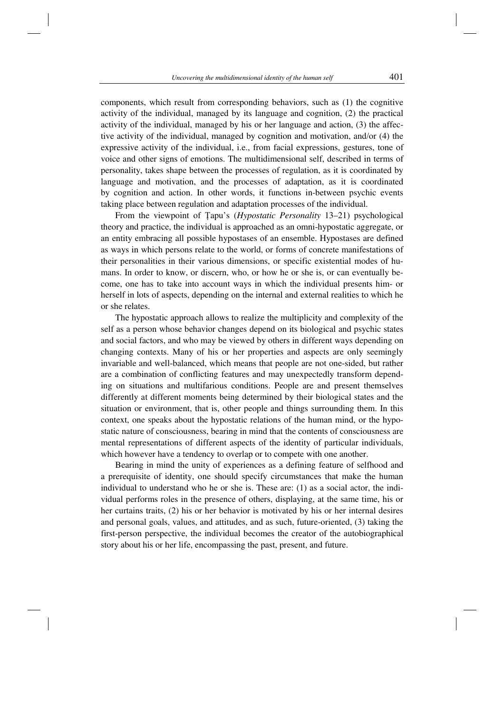components, which result from corresponding behaviors, such as (1) the cognitive activity of the individual, managed by its language and cognition, (2) the practical activity of the individual, managed by his or her language and action, (3) the affective activity of the individual, managed by cognition and motivation, and/or (4) the expressive activity of the individual, i.e., from facial expressions, gestures, tone of voice and other signs of emotions. The multidimensional self, described in terms of personality, takes shape between the processes of regulation, as it is coordinated by language and motivation, and the processes of adaptation, as it is coordinated by cognition and action. In other words, it functions in-between psychic events taking place between regulation and adaptation processes of the individual.

From the viewpoint of Țapu's (*Hypostatic Personality* 13–21) psychological theory and practice, the individual is approached as an omni-hypostatic aggregate, or an entity embracing all possible hypostases of an ensemble. Hypostases are defined as ways in which persons relate to the world, or forms of concrete manifestations of their personalities in their various dimensions, or specific existential modes of humans. In order to know, or discern, who, or how he or she is, or can eventually become, one has to take into account ways in which the individual presents him- or herself in lots of aspects, depending on the internal and external realities to which he or she relates.

The hypostatic approach allows to realize the multiplicity and complexity of the self as a person whose behavior changes depend on its biological and psychic states and social factors, and who may be viewed by others in different ways depending on changing contexts. Many of his or her properties and aspects are only seemingly invariable and well-balanced, which means that people are not one-sided, but rather are a combination of conflicting features and may unexpectedly transform depending on situations and multifarious conditions. People are and present themselves differently at different moments being determined by their biological states and the situation or environment, that is, other people and things surrounding them. In this context, one speaks about the hypostatic relations of the human mind, or the hypostatic nature of consciousness, bearing in mind that the contents of consciousness are mental representations of different aspects of the identity of particular individuals, which however have a tendency to overlap or to compete with one another.

Bearing in mind the unity of experiences as a defining feature of selfhood and a prerequisite of identity, one should specify circumstances that make the human individual to understand who he or she is. These are: (1) as a social actor, the individual performs roles in the presence of others, displaying, at the same time, his or her curtains traits, (2) his or her behavior is motivated by his or her internal desires and personal goals, values, and attitudes, and as such, future-oriented, (3) taking the first-person perspective, the individual becomes the creator of the autobiographical story about his or her life, encompassing the past, present, and future.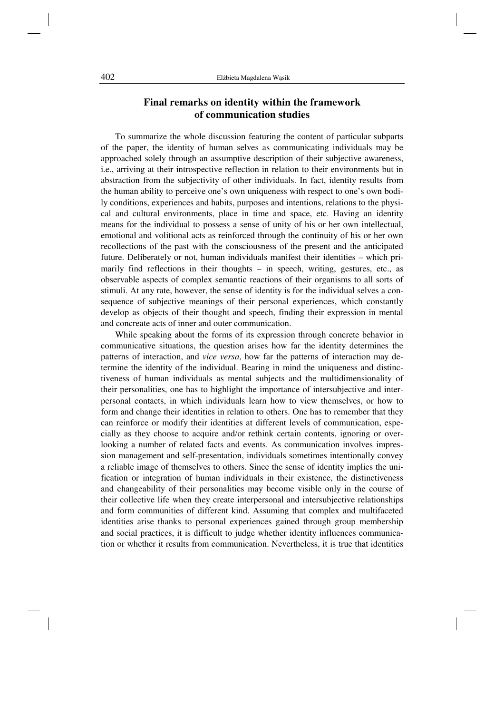## **Final remarks on identity within the framework of communication studies**

To summarize the whole discussion featuring the content of particular subparts of the paper, the identity of human selves as communicating individuals may be approached solely through an assumptive description of their subjective awareness, i.e., arriving at their introspective reflection in relation to their environments but in abstraction from the subjectivity of other individuals. In fact, identity results from the human ability to perceive one's own uniqueness with respect to one's own bodily conditions, experiences and habits, purposes and intentions, relations to the physical and cultural environments, place in time and space, etc. Having an identity means for the individual to possess a sense of unity of his or her own intellectual, emotional and volitional acts as reinforced through the continuity of his or her own recollections of the past with the consciousness of the present and the anticipated future. Deliberately or not, human individuals manifest their identities – which primarily find reflections in their thoughts – in speech, writing, gestures, etc., as observable aspects of complex semantic reactions of their organisms to all sorts of stimuli. At any rate, however, the sense of identity is for the individual selves a consequence of subjective meanings of their personal experiences, which constantly develop as objects of their thought and speech, finding their expression in mental and concreate acts of inner and outer communication.

While speaking about the forms of its expression through concrete behavior in communicative situations, the question arises how far the identity determines the patterns of interaction, and *vice versa*, how far the patterns of interaction may determine the identity of the individual. Bearing in mind the uniqueness and distinctiveness of human individuals as mental subjects and the multidimensionality of their personalities, one has to highlight the importance of intersubjective and interpersonal contacts, in which individuals learn how to view themselves, or how to form and change their identities in relation to others. One has to remember that they can reinforce or modify their identities at different levels of communication, especially as they choose to acquire and/or rethink certain contents, ignoring or overlooking a number of related facts and events. As communication involves impression management and self-presentation, individuals sometimes intentionally convey a reliable image of themselves to others. Since the sense of identity implies the unification or integration of human individuals in their existence, the distinctiveness and changeability of their personalities may become visible only in the course of their collective life when they create interpersonal and intersubjective relationships and form communities of different kind. Assuming that complex and multifaceted identities arise thanks to personal experiences gained through group membership and social practices, it is difficult to judge whether identity influences communication or whether it results from communication. Nevertheless, it is true that identities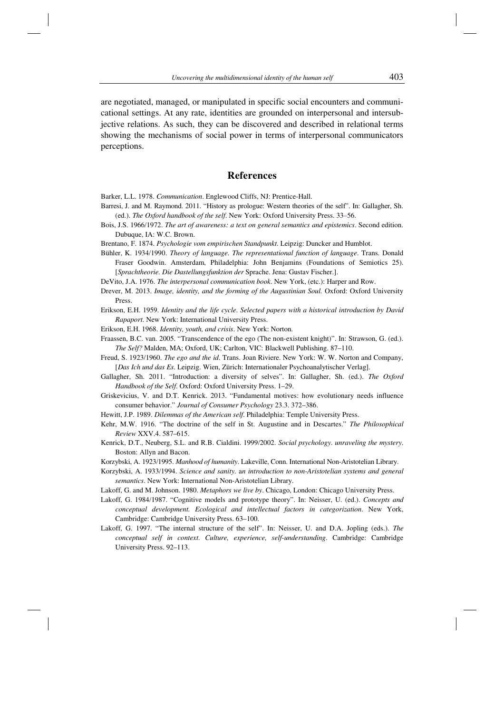are negotiated, managed, or manipulated in specific social encounters and communicational settings. At any rate, identities are grounded on interpersonal and intersubjective relations. As such, they can be discovered and described in relational terms showing the mechanisms of social power in terms of interpersonal communicators perceptions.

## **References**

Barker, L.L. 1978. *Communication*. Englewood Cliffs, NJ: Prentice-Hall.

- Barresi, J. and M. Raymond. 2011. "History as prologue: Western theories of the self". In: Gallagher, Sh. (ed.). *The Oxford handbook of the self*. New York: Oxford University Press. 33–56.
- Bois, J.S. 1966/1972. *The art of awareness: a text on general semantics and epistemics*. Second edition. Dubuque, IA: W.C. Brown.
- Brentano, F. 1874. *Psychologie vom empirischen Standpunkt*. Leipzig: Duncker and Humblot.
- Bühler, K. 1934/1990. *Theory of language. The representational function of language*. Trans. Donald Fraser Goodwin. Amsterdam, Philadelphia: John Benjamins (Foundations of Semiotics 25). [*Sprachtheorie. Die Dastellungsfunktion der* Sprache. Jena: Gustav Fischer.].
- DeVito, J.A. 1976. *The interpersonal communication book*. New York, (etc.): Harper and Row.
- Drever, M. 2013. *Image, identity, and the forming of the Augustinian Soul.* Oxford: Oxford University Press.
- Erikson, E.H. 1959. *Identity and the life cycle*. *Selected papers with a historical introduction by David Rapaport*. New York: International University Press.
- Erikson, E.H. 1968. *Identity, youth, and crisis*. New York: Norton.
- Fraassen, B.C. van. 2005. "Transcendence of the ego (The non-existent knight)". In: Strawson, G. (ed.). *The Self?* Malden, MA; Oxford, UK; Carlton, VIC: Blackwell Publishing. 87–110.
- Freud, S. 1923/1960. *The ego and the id*. Trans. Joan Riviere. New York: W. W. Norton and Company, [*Das Ich und das Es*. Leipzig. Wien, Zürich: Internationaler Psychoanalytischer Verlag].
- Gallagher, Sh. 2011. "Introduction: a diversity of selves". In: Gallagher, Sh. (ed.). *The Oxford Handbook of the Self*. Oxford: Oxford University Press. 1–29.
- Griskevicius, V. and D.T. Kenrick. 2013. "Fundamental motives: how evolutionary needs influence consumer behavior." *Journal of Consumer Psychology* 23.3. 372–386.
- Hewitt, J.P. 1989. *Dilemmas of the American self*. Philadelphia: Temple University Press.
- Kehr, M.W. 1916. "The doctrine of the self in St. Augustine and in Descartes." *The Philosophical Review* XXV.4. 587–615.
- Kenrick, D.T., Neuberg, S.L. and R.B. Cialdini. 1999/2002. *Social psychology*. *unraveling the mystery*. Boston: Allyn and Bacon.
- Korzybski, A. 1923/1995. *Manhood of humanity*. Lakeville, Conn. International Non-Aristotelian Library.
- Korzybski, A. 1933/1994. *Science and sanity*. a*n introduction to non-Aristotelian systems and general semantics*. New York: International Non-Aristotelian Library.
- Lakoff, G. and M. Johnson. 1980. *Metaphors we live by*. Chicago, London: Chicago University Press.
- Lakoff, G. 1984/1987. "Cognitive models and prototype theory". In: Neisser, U. (ed.). *Concepts and conceptual development. Ecological and intellectual factors in categorization*. New York, Cambridge: Cambridge University Press. 63–100.
- Lakoff, G. 1997. "The internal structure of the self". In: Neisser, U. and D.A. Jopling (eds.). *The conceptual self in context*. *Culture, experience, self-understanding*. Cambridge: Cambridge University Press. 92–113.